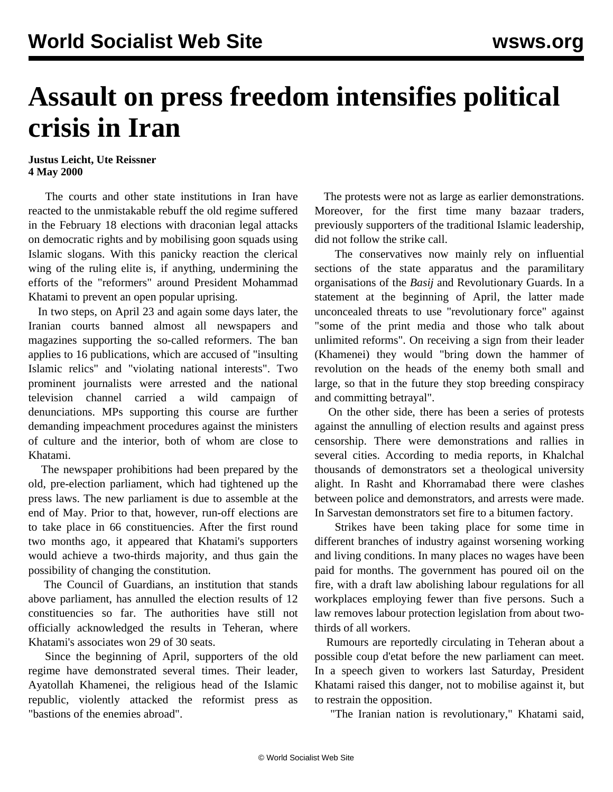## **Assault on press freedom intensifies political crisis in Iran**

## **Justus Leicht, Ute Reissner 4 May 2000**

 The courts and other state institutions in Iran have reacted to the unmistakable rebuff the old regime suffered in the February 18 elections with draconian legal attacks on democratic rights and by mobilising goon squads using Islamic slogans. With this panicky reaction the clerical wing of the ruling elite is, if anything, undermining the efforts of the "reformers" around President Mohammad Khatami to prevent an open popular uprising.

 In two steps, on April 23 and again some days later, the Iranian courts banned almost all newspapers and magazines supporting the so-called reformers. The ban applies to 16 publications, which are accused of "insulting Islamic relics" and "violating national interests". Two prominent journalists were arrested and the national television channel carried a wild campaign of denunciations. MPs supporting this course are further demanding impeachment procedures against the ministers of culture and the interior, both of whom are close to Khatami.

 The newspaper prohibitions had been prepared by the old, pre-election parliament, which had tightened up the press laws. The new parliament is due to assemble at the end of May. Prior to that, however, run-off elections are to take place in 66 constituencies. After the first round two months ago, it appeared that Khatami's supporters would achieve a two-thirds majority, and thus gain the possibility of changing the constitution.

 The Council of Guardians, an institution that stands above parliament, has annulled the election results of 12 constituencies so far. The authorities have still not officially acknowledged the results in Teheran, where Khatami's associates won 29 of 30 seats.

 Since the beginning of April, supporters of the old regime have demonstrated several times. Their leader, Ayatollah Khamenei, the religious head of the Islamic republic, violently attacked the reformist press as "bastions of the enemies abroad".

 The protests were not as large as earlier demonstrations. Moreover, for the first time many bazaar traders, previously supporters of the traditional Islamic leadership, did not follow the strike call.

 The conservatives now mainly rely on influential sections of the state apparatus and the paramilitary organisations of the *Basij* and Revolutionary Guards. In a statement at the beginning of April, the latter made unconcealed threats to use "revolutionary force" against "some of the print media and those who talk about unlimited reforms". On receiving a sign from their leader (Khamenei) they would "bring down the hammer of revolution on the heads of the enemy both small and large, so that in the future they stop breeding conspiracy and committing betrayal".

 On the other side, there has been a series of protests against the annulling of election results and against press censorship. There were demonstrations and rallies in several cities. According to media reports, in Khalchal thousands of demonstrators set a theological university alight. In Rasht and Khorramabad there were clashes between police and demonstrators, and arrests were made. In Sarvestan demonstrators set fire to a bitumen factory.

 Strikes have been taking place for some time in different branches of industry against worsening working and living conditions. In many places no wages have been paid for months. The government has poured oil on the fire, with a draft law abolishing labour regulations for all workplaces employing fewer than five persons. Such a law removes labour protection legislation from about twothirds of all workers.

 Rumours are reportedly circulating in Teheran about a possible coup d'etat before the new parliament can meet. In a speech given to workers last Saturday, President Khatami raised this danger, not to mobilise against it, but to restrain the opposition.

"The Iranian nation is revolutionary," Khatami said,